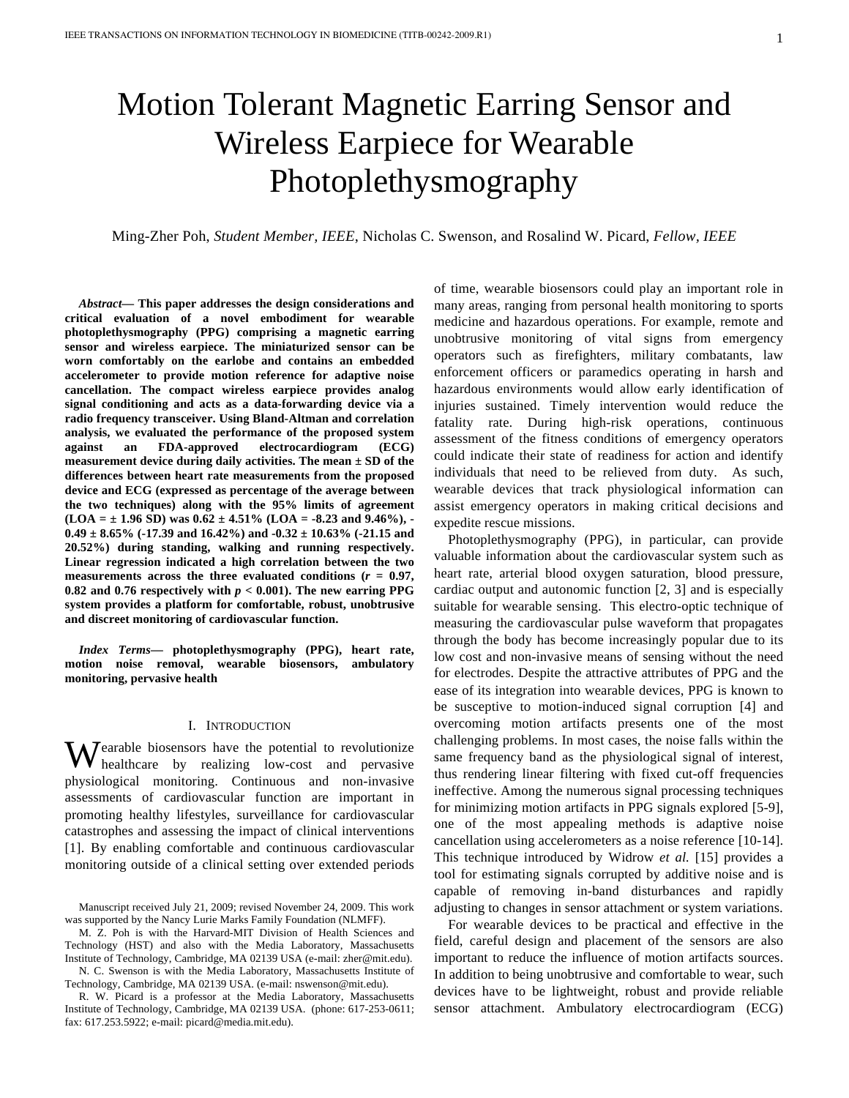# Motion Tolerant Magnetic Earring Sensor and Wireless Earpiece for Wearable Photoplethysmography

Ming-Zher Poh, *Student Member, IEEE*, Nicholas C. Swenson, and Rosalind W. Picard, *Fellow, IEEE*

*Abstract***— This paper addresses the design considerations and critical evaluation of a novel embodiment for wearable photoplethysmography (PPG) comprising a magnetic earring sensor and wireless earpiece. The miniaturized sensor can be worn comfortably on the earlobe and contains an embedded accelerometer to provide motion reference for adaptive noise cancellation. The compact wireless earpiece provides analog signal conditioning and acts as a data-forwarding device via a radio frequency transceiver. Using Bland-Altman and correlation analysis, we evaluated the performance of the proposed system against an FDA-approved electrocardiogram (ECG) measurement device during daily activities. The mean ± SD of the differences between heart rate measurements from the proposed device and ECG (expressed as percentage of the average between the two techniques) along with the 95% limits of agreement (LOA = ± 1.96 SD) was 0.62 ± 4.51% (LOA = -8.23 and 9.46%), - 0.49 ± 8.65% (-17.39 and 16.42%) and -0.32 ± 10.63% (-21.15 and 20.52%) during standing, walking and running respectively. Linear regression indicated a high correlation between the two measurements across the three evaluated conditions (***r* **= 0.97, 0.82 and 0.76 respectively with**  $p < 0.001$ **). The new earring PPG system provides a platform for comfortable, robust, unobtrusive and discreet monitoring of cardiovascular function.** 

*Index Terms***— photoplethysmography (PPG), heart rate, motion noise removal, wearable biosensors, ambulatory monitoring, pervasive health** 

#### I. INTRODUCTION

earable biosensors have the potential to revolutionize Wearable biosensors have the potential to revolutionize<br>healthcare by realizing low-cost and pervasive physiological monitoring. Continuous and non-invasive assessments of cardiovascular function are important in promoting healthy lifestyles, surveillance for cardiovascular catastrophes and assessing the impact of clinical interventions [1]. By enabling comfortable and continuous cardiovascular monitoring outside of a clinical setting over extended periods

M. Z. Poh is with the Harvard-MIT Division of Health Sciences and Technology (HST) and also with the Media Laboratory, Massachusetts Institute of Technology, Cambridge, MA 02139 USA (e-mail: zher@mit.edu).

N. C. Swenson is with the Media Laboratory, Massachusetts Institute of Technology, Cambridge, MA 02139 USA. (e-mail: nswenson@mit.edu).

R. W. Picard is a professor at the Media Laboratory, Massachusetts Institute of Technology, Cambridge, MA 02139 USA. (phone: 617-253-0611; fax: 617.253.5922; e-mail: picard@media.mit.edu).

of time, wearable biosensors could play an important role in many areas, ranging from personal health monitoring to sports medicine and hazardous operations. For example, remote and unobtrusive monitoring of vital signs from emergency operators such as firefighters, military combatants, law enforcement officers or paramedics operating in harsh and hazardous environments would allow early identification of injuries sustained. Timely intervention would reduce the fatality rate. During high-risk operations, continuous assessment of the fitness conditions of emergency operators could indicate their state of readiness for action and identify individuals that need to be relieved from duty. As such, wearable devices that track physiological information can assist emergency operators in making critical decisions and expedite rescue missions.

Photoplethysmography (PPG), in particular, can provide valuable information about the cardiovascular system such as heart rate, arterial blood oxygen saturation, blood pressure, cardiac output and autonomic function [2, 3] and is especially suitable for wearable sensing. This electro-optic technique of measuring the cardiovascular pulse waveform that propagates through the body has become increasingly popular due to its low cost and non-invasive means of sensing without the need for electrodes. Despite the attractive attributes of PPG and the ease of its integration into wearable devices, PPG is known to be susceptive to motion-induced signal corruption [4] and overcoming motion artifacts presents one of the most challenging problems. In most cases, the noise falls within the same frequency band as the physiological signal of interest, thus rendering linear filtering with fixed cut-off frequencies ineffective. Among the numerous signal processing techniques for minimizing motion artifacts in PPG signals explored [5-9], one of the most appealing methods is adaptive noise cancellation using accelerometers as a noise reference [10-14]. This technique introduced by Widrow *et al.* [15] provides a tool for estimating signals corrupted by additive noise and is capable of removing in-band disturbances and rapidly adjusting to changes in sensor attachment or system variations.

For wearable devices to be practical and effective in the field, careful design and placement of the sensors are also important to reduce the influence of motion artifacts sources. In addition to being unobtrusive and comfortable to wear, such devices have to be lightweight, robust and provide reliable sensor attachment. Ambulatory electrocardiogram (ECG)

Manuscript received July 21, 2009; revised November 24, 2009. This work was supported by the Nancy Lurie Marks Family Foundation (NLMFF).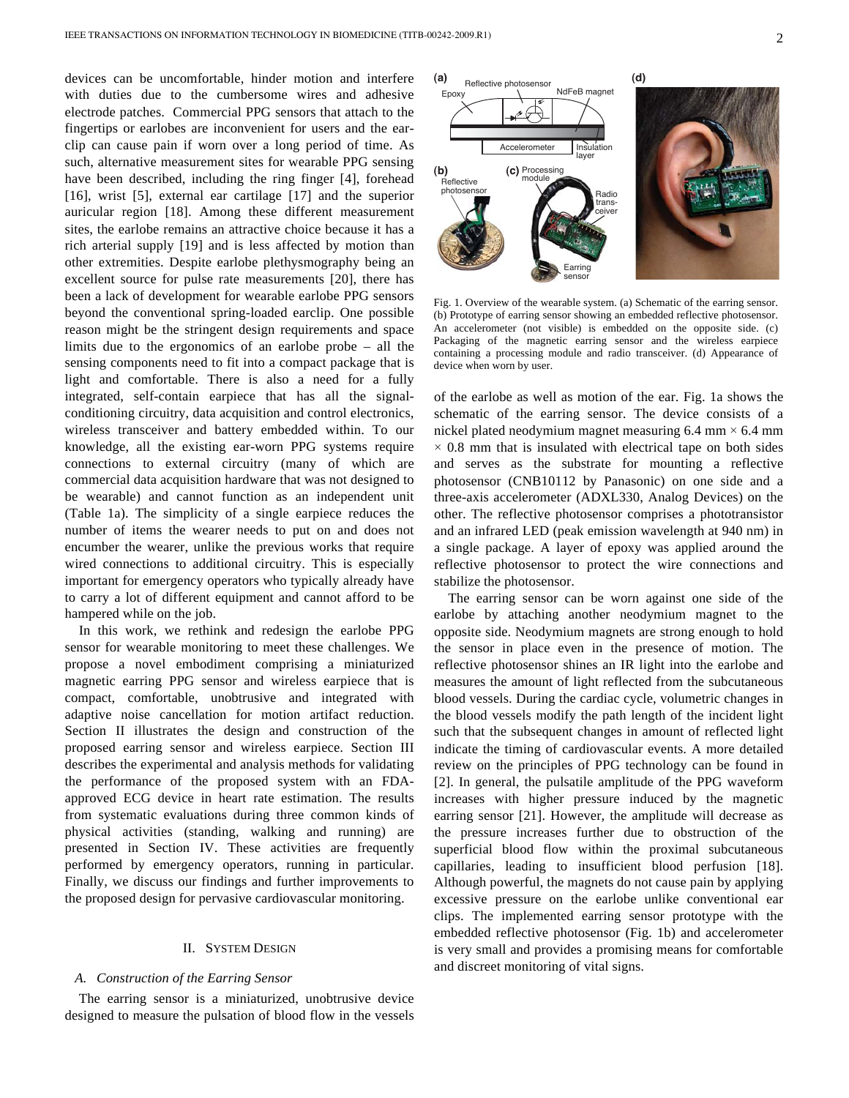devices can be uncomfortable, hinder motion and interfere with duties due to the cumbersome wires and adhesive electrode patches. Commercial PPG sensors that attach to the fingertips or earlobes are inconvenient for users and the earclip can cause pain if worn over a long period of time. As such, alternative measurement sites for wearable PPG sensing have been described, including the ring finger [4], forehead [16], wrist [5], external ear cartilage [17] and the superior auricular region [18]. Among these different measurement sites, the earlobe remains an attractive choice because it has a rich arterial supply [19] and is less affected by motion than other extremities. Despite earlobe plethysmography being an excellent source for pulse rate measurements [20], there has been a lack of development for wearable earlobe PPG sensors beyond the conventional spring-loaded earclip. One possible reason might be the stringent design requirements and space limits due to the ergonomics of an earlobe probe – all the sensing components need to fit into a compact package that is light and comfortable. There is also a need for a fully integrated, self-contain earpiece that has all the signalconditioning circuitry, data acquisition and control electronics, wireless transceiver and battery embedded within. To our knowledge, all the existing ear-worn PPG systems require connections to external circuitry (many of which are commercial data acquisition hardware that was not designed to be wearable) and cannot function as an independent unit (Table 1a). The simplicity of a single earpiece reduces the number of items the wearer needs to put on and does not encumber the wearer, unlike the previous works that require wired connections to additional circuitry. This is especially important for emergency operators who typically already have to carry a lot of different equipment and cannot afford to be hampered while on the job.

In this work, we rethink and redesign the earlobe PPG sensor for wearable monitoring to meet these challenges. We propose a novel embodiment comprising a miniaturized magnetic earring PPG sensor and wireless earpiece that is compact, comfortable, unobtrusive and integrated with adaptive noise cancellation for motion artifact reduction. Section II illustrates the design and construction of the proposed earring sensor and wireless earpiece. Section III describes the experimental and analysis methods for validating the performance of the proposed system with an FDAapproved ECG device in heart rate estimation. The results from systematic evaluations during three common kinds of physical activities (standing, walking and running) are presented in Section IV. These activities are frequently performed by emergency operators, running in particular. Finally, we discuss our findings and further improvements to the proposed design for pervasive cardiovascular monitoring.

#### II. SYSTEM DESIGN

#### *A. Construction of the Earring Sensor*

The earring sensor is a miniaturized, unobtrusive device designed to measure the pulsation of blood flow in the vessels



Fig. 1. Overview of the wearable system. (a) Schematic of the earring sensor. (b) Prototype of earring sensor showing an embedded reflective photosensor. An accelerometer (not visible) is embedded on the opposite side. (c) Packaging of the magnetic earring sensor and the wireless earpiece containing a processing module and radio transceiver. (d) Appearance of device when worn by user.

of the earlobe as well as motion of the ear. Fig. 1a shows the schematic of the earring sensor. The device consists of a nickel plated neodymium magnet measuring  $6.4 \text{ mm} \times 6.4 \text{ mm}$  $\times$  0.8 mm that is insulated with electrical tape on both sides and serves as the substrate for mounting a reflective photosensor (CNB10112 by Panasonic) on one side and a three-axis accelerometer (ADXL330, Analog Devices) on the other. The reflective photosensor comprises a phototransistor and an infrared LED (peak emission wavelength at 940 nm) in a single package. A layer of epoxy was applied around the reflective photosensor to protect the wire connections and stabilize the photosensor.

The earring sensor can be worn against one side of the earlobe by attaching another neodymium magnet to the opposite side. Neodymium magnets are strong enough to hold the sensor in place even in the presence of motion. The reflective photosensor shines an IR light into the earlobe and measures the amount of light reflected from the subcutaneous blood vessels. During the cardiac cycle, volumetric changes in the blood vessels modify the path length of the incident light such that the subsequent changes in amount of reflected light indicate the timing of cardiovascular events. A more detailed review on the principles of PPG technology can be found in [2]. In general, the pulsatile amplitude of the PPG waveform increases with higher pressure induced by the magnetic earring sensor [21]. However, the amplitude will decrease as the pressure increases further due to obstruction of the superficial blood flow within the proximal subcutaneous capillaries, leading to insufficient blood perfusion [18]. Although powerful, the magnets do not cause pain by applying excessive pressure on the earlobe unlike conventional ear clips. The implemented earring sensor prototype with the embedded reflective photosensor (Fig. 1b) and accelerometer is very small and provides a promising means for comfortable and discreet monitoring of vital signs.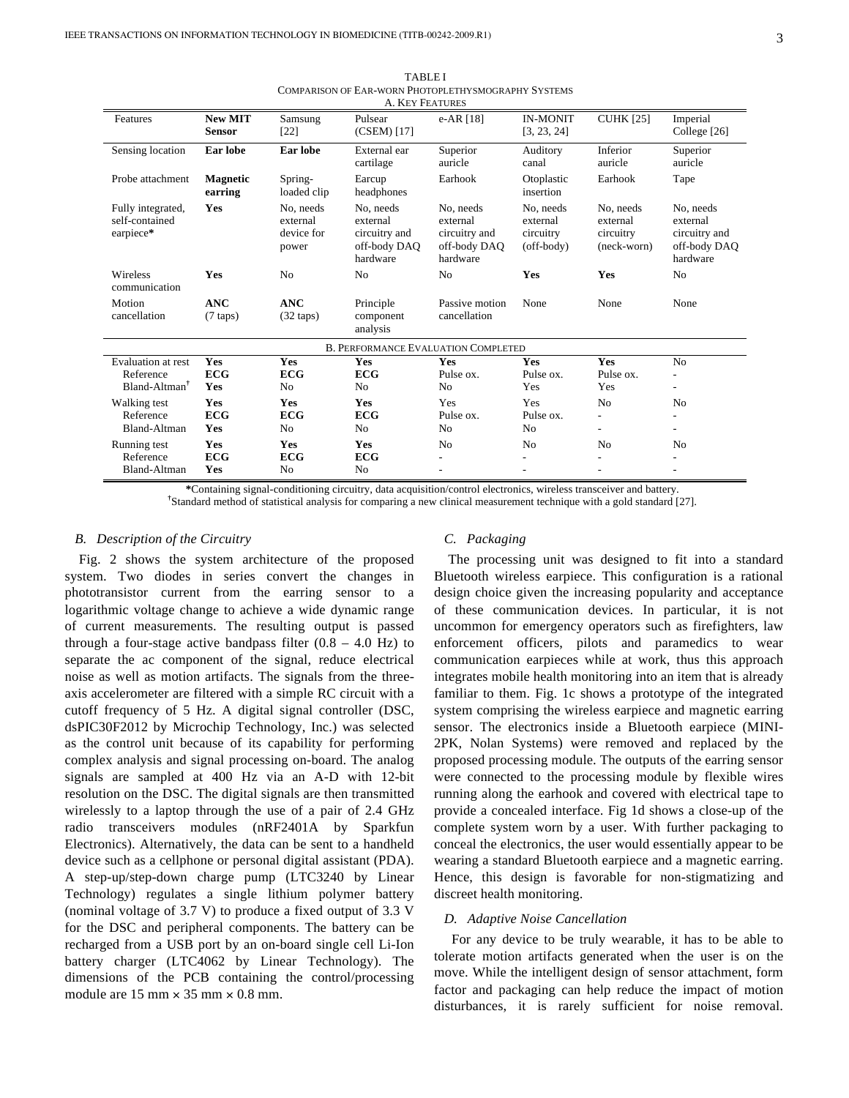|                                                              |                                  |                                              | A. INET L'EATURES                                                  |                                                                    |                                                    |                                                   |                                                                    |
|--------------------------------------------------------------|----------------------------------|----------------------------------------------|--------------------------------------------------------------------|--------------------------------------------------------------------|----------------------------------------------------|---------------------------------------------------|--------------------------------------------------------------------|
| Features                                                     | <b>New MIT</b><br><b>Sensor</b>  | Samsung<br>$[22]$                            | Pulsear<br>(CSEM) [17]                                             | e-AR $[18]$                                                        | <b>IN-MONIT</b><br>[3, 23, 24]                     | <b>CUHK</b> [25]                                  | Imperial<br>College [26]                                           |
| Sensing location                                             | Ear lobe                         | Ear lobe                                     | External ear<br>cartilage                                          | Superior<br>auricle                                                | Auditory<br>canal                                  | Inferior<br>auricle                               | Superior<br>auricle                                                |
| Probe attachment                                             | <b>Magnetic</b><br>earring       | Spring-<br>loaded clip                       | Earcup<br>headphones                                               | Earhook                                                            | Otoplastic<br>insertion                            | Earhook                                           | Tape                                                               |
| Fully integrated,<br>self-contained<br>earpiece*             | Yes                              | No. needs<br>external<br>device for<br>power | No. needs<br>external<br>circuitry and<br>off-body DAO<br>hardware | No. needs<br>external<br>circuitry and<br>off-body DAQ<br>hardware | No. needs<br>external<br>circuitry<br>$(off-body)$ | No. needs<br>external<br>circuitry<br>(neck-worn) | No. needs<br>external<br>circuitry and<br>off-body DAO<br>hardware |
| Wireless<br>communication                                    | Yes                              | N <sub>0</sub>                               | N <sub>0</sub>                                                     | N <sub>0</sub>                                                     | Yes                                                | Yes                                               | N <sub>0</sub>                                                     |
| Motion<br>cancellation                                       | <b>ANC</b><br>$(7 \text{ taps})$ | <b>ANC</b><br>$(32 \text{ taps})$            | Principle<br>component<br>analysis                                 | Passive motion<br>cancellation                                     | None                                               | None                                              | None                                                               |
|                                                              |                                  |                                              | <b>B. PERFORMANCE EVALUATION COMPLETED</b>                         |                                                                    |                                                    |                                                   |                                                                    |
| Evaluation at rest<br>Reference<br>Bland-Altman <sup>†</sup> | Yes<br><b>ECG</b><br>Yes         | Yes<br><b>ECG</b><br>No                      | Yes<br><b>ECG</b><br>N <sub>0</sub>                                | Yes<br>Pulse ox.<br>N <sub>0</sub>                                 | Yes<br>Pulse ox.<br>Yes                            | Yes<br>Pulse ox.<br>Yes                           | N <sub>0</sub><br>$\overline{\phantom{a}}$                         |
| Walking test<br>Reference<br>Bland-Altman                    | Yes<br><b>ECG</b><br>Yes         | <b>Yes</b><br><b>ECG</b><br>N <sub>0</sub>   | Yes<br><b>ECG</b><br>N <sub>0</sub>                                | Yes<br>Pulse ox.<br>N <sub>0</sub>                                 | Yes<br>Pulse ox.<br>N <sub>0</sub>                 | N <sub>0</sub><br>$\overline{\phantom{0}}$        | No                                                                 |
| Running test<br>Reference<br><b>Bland-Altman</b>             | Yes<br><b>ECG</b><br>Yes         | Yes<br><b>ECG</b><br>N <sub>0</sub>          | Yes<br><b>ECG</b><br>No                                            | N <sub>0</sub><br>٠                                                | N <sub>o</sub>                                     | N <sub>0</sub><br>$\overline{\phantom{a}}$        | N <sub>o</sub>                                                     |

TABLE I COMPARISON OF EAR-WORN PHOTOPLETHYSMOGRAPHY SYSTEMS A. KEY FEATURES

**\***Containing signal-conditioning circuitry, data acquisition/control electronics, wireless transceiver and battery. **†** Standard method of statistical analysis for comparing a new clinical measurement technique with a gold standard [27].

#### *B. Description of the Circuitry*

Fig. 2 shows the system architecture of the proposed system. Two diodes in series convert the changes in phototransistor current from the earring sensor to a logarithmic voltage change to achieve a wide dynamic range of current measurements. The resulting output is passed through a four-stage active bandpass filter  $(0.8 - 4.0 \text{ Hz})$  to separate the ac component of the signal, reduce electrical noise as well as motion artifacts. The signals from the threeaxis accelerometer are filtered with a simple RC circuit with a cutoff frequency of 5 Hz. A digital signal controller (DSC, dsPIC30F2012 by Microchip Technology, Inc.) was selected as the control unit because of its capability for performing complex analysis and signal processing on-board. The analog signals are sampled at 400 Hz via an A-D with 12-bit resolution on the DSC. The digital signals are then transmitted wirelessly to a laptop through the use of a pair of 2.4 GHz radio transceivers modules (nRF2401A by Sparkfun Electronics). Alternatively, the data can be sent to a handheld device such as a cellphone or personal digital assistant (PDA). A step-up/step-down charge pump (LTC3240 by Linear Technology) regulates a single lithium polymer battery (nominal voltage of 3.7 V) to produce a fixed output of 3.3 V for the DSC and peripheral components. The battery can be recharged from a USB port by an on-board single cell Li-Ion battery charger (LTC4062 by Linear Technology). The dimensions of the PCB containing the control/processing module are  $15 \text{ mm} \times 35 \text{ mm} \times 0.8 \text{ mm}$ .

## *C. Packaging*

The processing unit was designed to fit into a standard Bluetooth wireless earpiece. This configuration is a rational design choice given the increasing popularity and acceptance of these communication devices. In particular, it is not uncommon for emergency operators such as firefighters, law enforcement officers, pilots and paramedics to wear communication earpieces while at work, thus this approach integrates mobile health monitoring into an item that is already familiar to them. Fig. 1c shows a prototype of the integrated system comprising the wireless earpiece and magnetic earring sensor. The electronics inside a Bluetooth earpiece (MINI-2PK, Nolan Systems) were removed and replaced by the proposed processing module. The outputs of the earring sensor were connected to the processing module by flexible wires running along the earhook and covered with electrical tape to provide a concealed interface. Fig 1d shows a close-up of the complete system worn by a user. With further packaging to conceal the electronics, the user would essentially appear to be wearing a standard Bluetooth earpiece and a magnetic earring. Hence, this design is favorable for non-stigmatizing and discreet health monitoring.

## *D. Adaptive Noise Cancellation*

For any device to be truly wearable, it has to be able to tolerate motion artifacts generated when the user is on the move. While the intelligent design of sensor attachment, form factor and packaging can help reduce the impact of motion disturbances, it is rarely sufficient for noise removal.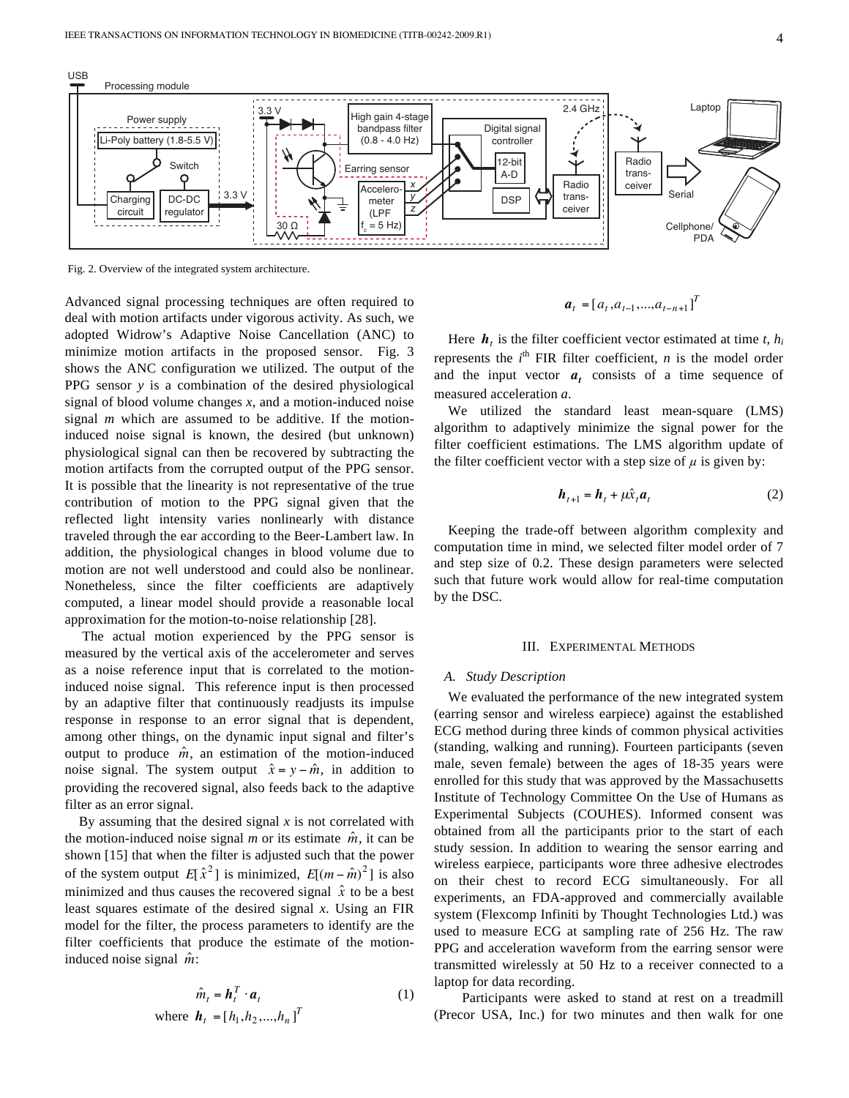

Fig. 2. Overview of the integrated system architecture.

Advanced signal processing techniques are often required to deal with motion artifacts under vigorous activity. As such, we adopted Widrow's Adaptive Noise Cancellation (ANC) to minimize motion artifacts in the proposed sensor. Fig. 3 shows the ANC configuration we utilized. The output of the PPG sensor *y* is a combination of the desired physiological signal of blood volume changes *x*, and a motion-induced noise signal *m* which are assumed to be additive. If the motioninduced noise signal is known, the desired (but unknown) physiological signal can then be recovered by subtracting the motion artifacts from the corrupted output of the PPG sensor. It is possible that the linearity is not representative of the true contribution of motion to the PPG signal given that the reflected light intensity varies nonlinearly with distance traveled through the ear according to the Beer-Lambert law. In addition, the physiological changes in blood volume due to motion are not well understood and could also be nonlinear. Nonetheless, since the filter coefficients are adaptively computed, a linear model should provide a reasonable local approximation for the motion-to-noise relationship [28].

 The actual motion experienced by the PPG sensor is measured by the vertical axis of the accelerometer and serves as a noise reference input that is correlated to the motioninduced noise signal. This reference input is then processed by an adaptive filter that continuously readjusts its impulse response in response to an error signal that is dependent, among other things, on the dynamic input signal and filter's output to produce  $\hat{m}$ , an estimation of the motion-induced noise signal. The system output  $\hat{x} = y - \hat{m}$ , in addition to providing the recovered signal, also feeds back to the adaptive filter as an error signal.

By assuming that the desired signal *x* is not correlated with the motion-induced noise signal  $m$  or its estimate  $\hat{m}$ , it can be shown [15] that when the filter is adjusted such that the power of the system output  $E[\hat{x}^2]$  is minimized,  $E[(m - \hat{m})^2]$  is also minimized and thus causes the recovered signal  $\hat{x}$  to be a best least squares estimate of the desired signal *x*. Using an FIR model for the filter, the process parameters to identify are the filter coefficients that produce the estimate of the motioninduced noise signal  $\hat{m}$ :

$$
\hat{m}_t = \boldsymbol{h}_t^T \cdot \boldsymbol{a}_t
$$
\nwhere  $\boldsymbol{h}_t = [h_1, h_2, ..., h_n]^T$  (1)

$$
\boldsymbol{a}_{t} = [a_{t}, a_{t-1},..., a_{t-n+1}]^{T}
$$

Here  $h_t$  is the filter coefficient vector estimated at time  $t$ ,  $h_i$ represents the  $i<sup>th</sup>$  FIR filter coefficient, *n* is the model order and the input vector  $a_t$  consists of a time sequence of measured acceleration *a*.

We utilized the standard least mean-square (LMS) algorithm to adaptively minimize the signal power for the filter coefficient estimations. The LMS algorithm update of the filter coefficient vector with a step size of  $\mu$  is given by:

$$
\boldsymbol{h}_{t+1} = \boldsymbol{h}_t + \mu \hat{x}_t \boldsymbol{a}_t \tag{2}
$$

Keeping the trade-off between algorithm complexity and computation time in mind, we selected filter model order of 7 and step size of 0.2. These design parameters were selected such that future work would allow for real-time computation by the DSC.

#### III. EXPERIMENTAL METHODS

## *A. Study Description*

We evaluated the performance of the new integrated system (earring sensor and wireless earpiece) against the established ECG method during three kinds of common physical activities (standing, walking and running). Fourteen participants (seven male, seven female) between the ages of 18-35 years were enrolled for this study that was approved by the Massachusetts Institute of Technology Committee On the Use of Humans as Experimental Subjects (COUHES). Informed consent was obtained from all the participants prior to the start of each study session. In addition to wearing the sensor earring and wireless earpiece, participants wore three adhesive electrodes on their chest to record ECG simultaneously. For all experiments, an FDA-approved and commercially available system (Flexcomp Infiniti by Thought Technologies Ltd.) was used to measure ECG at sampling rate of 256 Hz. The raw PPG and acceleration waveform from the earring sensor were transmitted wirelessly at 50 Hz to a receiver connected to a laptop for data recording.

 Participants were asked to stand at rest on a treadmill (Precor USA, Inc.) for two minutes and then walk for one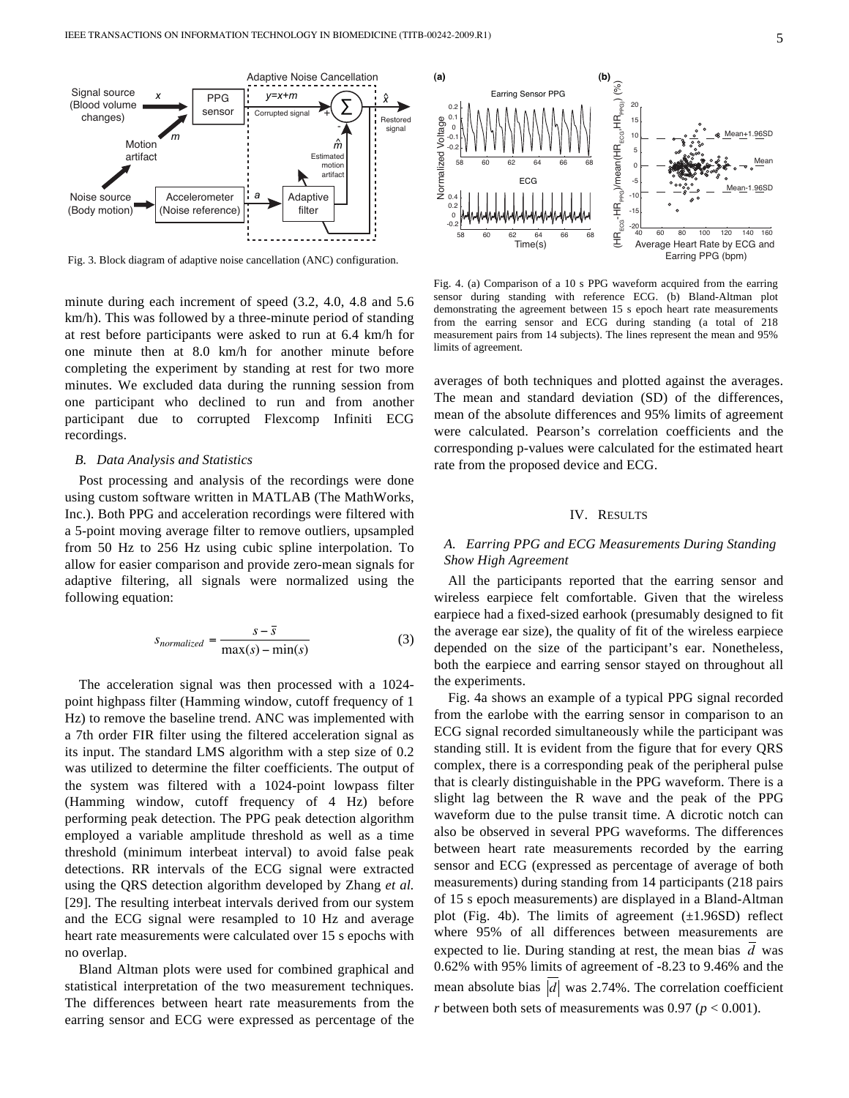

Fig. 3. Block diagram of adaptive noise cancellation (ANC) configuration.

minute during each increment of speed (3.2, 4.0, 4.8 and 5.6 km/h). This was followed by a three-minute period of standing at rest before participants were asked to run at 6.4 km/h for one minute then at 8.0 km/h for another minute before completing the experiment by standing at rest for two more minutes. We excluded data during the running session from one participant who declined to run and from another participant due to corrupted Flexcomp Infiniti ECG recordings.

#### *B. Data Analysis and Statistics*

Post processing and analysis of the recordings were done using custom software written in MATLAB (The MathWorks, Inc.). Both PPG and acceleration recordings were filtered with a 5-point moving average filter to remove outliers, upsampled from 50 Hz to 256 Hz using cubic spline interpolation. To allow for easier comparison and provide zero-mean signals for adaptive filtering, all signals were normalized using the following equation:

$$
s_{normalized} = \frac{s - \overline{s}}{\max(s) - \min(s)}\tag{3}
$$

The acceleration signal was then processed with a 1024 point highpass filter (Hamming window, cutoff frequency of 1 Hz) to remove the baseline trend. ANC was implemented with a 7th order FIR filter using the filtered acceleration signal as its input. The standard LMS algorithm with a step size of 0.2 was utilized to determine the filter coefficients. The output of the system was filtered with a 1024-point lowpass filter (Hamming window, cutoff frequency of 4 Hz) before performing peak detection. The PPG peak detection algorithm employed a variable amplitude threshold as well as a time threshold (minimum interbeat interval) to avoid false peak detections. RR intervals of the ECG signal were extracted using the QRS detection algorithm developed by Zhang *et al.* [29]. The resulting interbeat intervals derived from our system and the ECG signal were resampled to 10 Hz and average heart rate measurements were calculated over 15 s epochs with no overlap.

Bland Altman plots were used for combined graphical and statistical interpretation of the two measurement techniques. The differences between heart rate measurements from the earring sensor and ECG were expressed as percentage of the



Fig. 4. (a) Comparison of a 10 s PPG waveform acquired from the earring sensor during standing with reference ECG. (b) Bland-Altman plot demonstrating the agreement between 15 s epoch heart rate measurements from the earring sensor and ECG during standing (a total of 218 measurement pairs from 14 subjects). The lines represent the mean and 95% limits of agreement.

averages of both techniques and plotted against the averages. The mean and standard deviation (SD) of the differences, mean of the absolute differences and 95% limits of agreement were calculated. Pearson's correlation coefficients and the corresponding p-values were calculated for the estimated heart rate from the proposed device and ECG.

#### IV. RESULTS

## *A. Earring PPG and ECG Measurements During Standing Show High Agreement*

All the participants reported that the earring sensor and wireless earpiece felt comfortable. Given that the wireless earpiece had a fixed-sized earhook (presumably designed to fit the average ear size), the quality of fit of the wireless earpiece depended on the size of the participant's ear. Nonetheless, both the earpiece and earring sensor stayed on throughout all the experiments.

Fig. 4a shows an example of a typical PPG signal recorded from the earlobe with the earring sensor in comparison to an ECG signal recorded simultaneously while the participant was standing still. It is evident from the figure that for every QRS complex, there is a corresponding peak of the peripheral pulse that is clearly distinguishable in the PPG waveform. There is a slight lag between the R wave and the peak of the PPG waveform due to the pulse transit time. A dicrotic notch can also be observed in several PPG waveforms. The differences between heart rate measurements recorded by the earring sensor and ECG (expressed as percentage of average of both measurements) during standing from 14 participants (218 pairs of 15 s epoch measurements) are displayed in a Bland-Altman plot (Fig. 4b). The limits of agreement  $(\pm 1.96SD)$  reflect where 95% of all differences between measurements are expected to lie. During standing at rest, the mean bias *d* was 0.62% with 95% limits of agreement of -8.23 to 9.46% and the mean absolute bias  $|d|$  was 2.74%. The correlation coefficient *r* between both sets of measurements was 0.97 ( $p < 0.001$ ).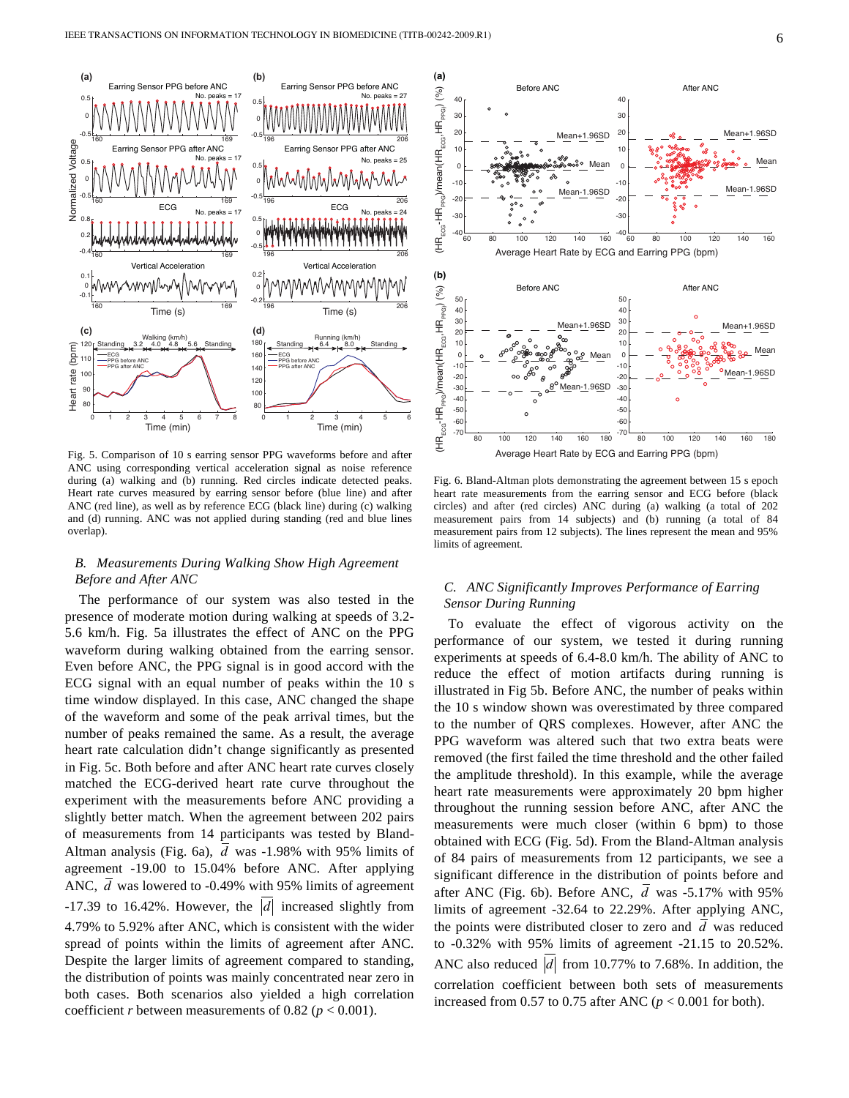

Fig. 5. Comparison of 10 s earring sensor PPG waveforms before and after ANC using corresponding vertical acceleration signal as noise reference during (a) walking and (b) running. Red circles indicate detected peaks. Heart rate curves measured by earring sensor before (blue line) and after ANC (red line), as well as by reference ECG (black line) during (c) walking and (d) running. ANC was not applied during standing (red and blue lines overlap).

## *B. Measurements During Walking Show High Agreement Before and After ANC*

The performance of our system was also tested in the presence of moderate motion during walking at speeds of 3.2- 5.6 km/h. Fig. 5a illustrates the effect of ANC on the PPG waveform during walking obtained from the earring sensor. Even before ANC, the PPG signal is in good accord with the ECG signal with an equal number of peaks within the 10 s time window displayed. In this case, ANC changed the shape of the waveform and some of the peak arrival times, but the number of peaks remained the same. As a result, the average heart rate calculation didn't change significantly as presented in Fig. 5c. Both before and after ANC heart rate curves closely matched the ECG-derived heart rate curve throughout the experiment with the measurements before ANC providing a slightly better match. When the agreement between 202 pairs of measurements from 14 participants was tested by Bland-Altman analysis (Fig. 6a), *d* was -1.98% with 95% limits of agreement -19.00 to 15.04% before ANC. After applying ANC,  $\overline{d}$  was lowered to -0.49% with 95% limits of agreement  $-17.39$  to 16.42%. However, the  $|d|$  increased slightly from 4.79% to 5.92% after ANC, which is consistent with the wider spread of points within the limits of agreement after ANC. Despite the larger limits of agreement compared to standing, the distribution of points was mainly concentrated near zero in both cases. Both scenarios also yielded a high correlation coefficient *r* between measurements of 0.82 ( $p < 0.001$ ).



Fig. 6. Bland-Altman plots demonstrating the agreement between 15 s epoch heart rate measurements from the earring sensor and ECG before (black circles) and after (red circles) ANC during (a) walking (a total of 202 measurement pairs from 14 subjects) and (b) running (a total of 84 measurement pairs from 12 subjects). The lines represent the mean and 95% limits of agreement.

# *C. ANC Significantly Improves Performance of Earring Sensor During Running*

To evaluate the effect of vigorous activity on the performance of our system, we tested it during running experiments at speeds of 6.4-8.0 km/h. The ability of ANC to reduce the effect of motion artifacts during running is illustrated in Fig 5b. Before ANC, the number of peaks within the 10 s window shown was overestimated by three compared to the number of QRS complexes. However, after ANC the PPG waveform was altered such that two extra beats were removed (the first failed the time threshold and the other failed the amplitude threshold). In this example, while the average heart rate measurements were approximately 20 bpm higher throughout the running session before ANC, after ANC the measurements were much closer (within 6 bpm) to those obtained with ECG (Fig. 5d). From the Bland-Altman analysis of 84 pairs of measurements from 12 participants, we see a significant difference in the distribution of points before and after ANC (Fig. 6b). Before ANC,  $\overline{d}$  was -5.17% with 95% limits of agreement -32.64 to 22.29%. After applying ANC, the points were distributed closer to zero and *d* was reduced to -0.32% with 95% limits of agreement -21.15 to 20.52%. ANC also reduced  $|d|$  from 10.77% to 7.68%. In addition, the correlation coefficient between both sets of measurements increased from 0.57 to 0.75 after ANC ( $p < 0.001$  for both).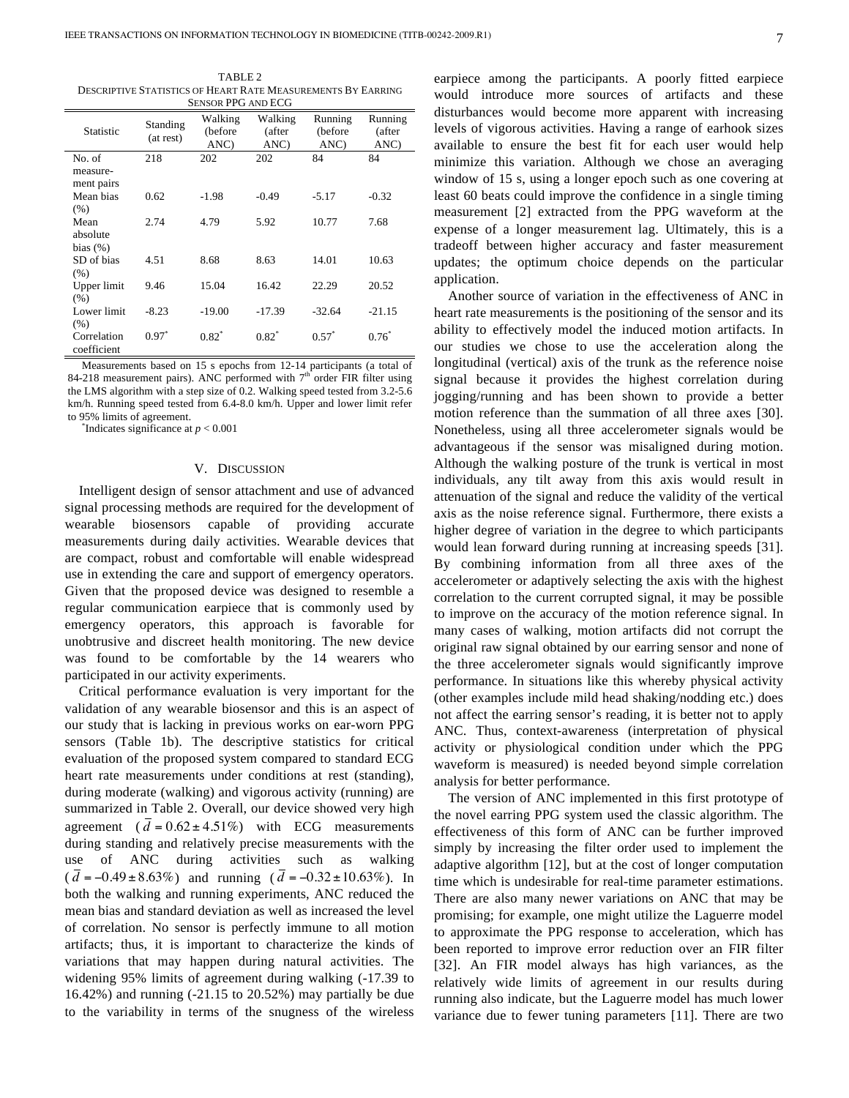TABLE 2 DESCRIPTIVE STATISTICS OF HEART RATE MEASUREMENTS BY EARRING SENSOR PPG AND ECG

| 983908.11 O AND ECO |                                  |                       |                            |                           |                            |                           |  |  |  |
|---------------------|----------------------------------|-----------------------|----------------------------|---------------------------|----------------------------|---------------------------|--|--|--|
|                     | Statistic                        | Standing<br>(at rest) | Walking<br>(before<br>ANC) | Walking<br>(after<br>ANC) | Running<br>(before<br>ANC) | Running<br>(after<br>ANC) |  |  |  |
|                     | No. of<br>measure-<br>ment pairs | 218                   | 202                        | 202                       | 84                         | 84                        |  |  |  |
|                     | Mean bias<br>(% )                | 0.62                  | $-1.98$                    | $-0.49$                   | $-5.17$                    | $-0.32$                   |  |  |  |
|                     | Mean<br>absolute<br>bias $(\%)$  | 2.74                  | 4.79                       | 5.92                      | 10.77                      | 7.68                      |  |  |  |
|                     | SD of bias<br>(% )               | 4.51                  | 8.68                       | 8.63                      | 14.01                      | 10.63                     |  |  |  |
|                     | Upper limit<br>(% )              | 9.46                  | 15.04                      | 16.42                     | 22.29                      | 20.52                     |  |  |  |
|                     | Lower limit<br>(% )              | $-8.23$               | $-19.00$                   | $-17.39$                  | $-32.64$                   | $-21.15$                  |  |  |  |
|                     | Correlation<br>coefficient       | $0.97*$               | $0.82^*$                   | $0.82^*$                  | $0.57^*$                   | $0.76^*$                  |  |  |  |

Measurements based on 15 s epochs from 12-14 participants (a total of 84-218 measurement pairs). ANC performed with  $7<sup>th</sup>$  order FIR filter using the LMS algorithm with a step size of 0.2. Walking speed tested from 3.2-5.6 km/h. Running speed tested from 6.4-8.0 km/h. Upper and lower limit refer to 95% limits of agreement.

Indicates significance at  $p < 0.001$ 

#### V. DISCUSSION

Intelligent design of sensor attachment and use of advanced signal processing methods are required for the development of wearable biosensors capable of providing accurate measurements during daily activities. Wearable devices that are compact, robust and comfortable will enable widespread use in extending the care and support of emergency operators. Given that the proposed device was designed to resemble a regular communication earpiece that is commonly used by emergency operators, this approach is favorable for unobtrusive and discreet health monitoring. The new device was found to be comfortable by the 14 wearers who participated in our activity experiments.

Critical performance evaluation is very important for the validation of any wearable biosensor and this is an aspect of our study that is lacking in previous works on ear-worn PPG sensors (Table 1b). The descriptive statistics for critical evaluation of the proposed system compared to standard ECG heart rate measurements under conditions at rest (standing), during moderate (walking) and vigorous activity (running) are summarized in Table 2. Overall, our device showed very high agreement ( $\overline{d} = 0.62 \pm 4.51\%$ ) with ECG measurements during standing and relatively precise measurements with the use of ANC during activities such as walking  $(\bar{d} = -0.49 \pm 8.63\%)$  and running  $(\bar{d} = -0.32 \pm 10.63\%)$ . In both the walking and running experiments, ANC reduced the mean bias and standard deviation as well as increased the level of correlation. No sensor is perfectly immune to all motion artifacts; thus, it is important to characterize the kinds of variations that may happen during natural activities. The widening 95% limits of agreement during walking (-17.39 to 16.42%) and running (-21.15 to 20.52%) may partially be due to the variability in terms of the snugness of the wireless

earpiece among the participants. A poorly fitted earpiece would introduce more sources of artifacts and these disturbances would become more apparent with increasing levels of vigorous activities. Having a range of earhook sizes available to ensure the best fit for each user would help minimize this variation. Although we chose an averaging window of 15 s, using a longer epoch such as one covering at least 60 beats could improve the confidence in a single timing measurement [2] extracted from the PPG waveform at the expense of a longer measurement lag. Ultimately, this is a tradeoff between higher accuracy and faster measurement updates; the optimum choice depends on the particular application.

Another source of variation in the effectiveness of ANC in heart rate measurements is the positioning of the sensor and its ability to effectively model the induced motion artifacts. In our studies we chose to use the acceleration along the longitudinal (vertical) axis of the trunk as the reference noise signal because it provides the highest correlation during jogging/running and has been shown to provide a better motion reference than the summation of all three axes [30]. Nonetheless, using all three accelerometer signals would be advantageous if the sensor was misaligned during motion. Although the walking posture of the trunk is vertical in most individuals, any tilt away from this axis would result in attenuation of the signal and reduce the validity of the vertical axis as the noise reference signal. Furthermore, there exists a higher degree of variation in the degree to which participants would lean forward during running at increasing speeds [31]. By combining information from all three axes of the accelerometer or adaptively selecting the axis with the highest correlation to the current corrupted signal, it may be possible to improve on the accuracy of the motion reference signal. In many cases of walking, motion artifacts did not corrupt the original raw signal obtained by our earring sensor and none of the three accelerometer signals would significantly improve performance. In situations like this whereby physical activity (other examples include mild head shaking/nodding etc.) does not affect the earring sensor's reading, it is better not to apply ANC. Thus, context-awareness (interpretation of physical activity or physiological condition under which the PPG waveform is measured) is needed beyond simple correlation analysis for better performance.

The version of ANC implemented in this first prototype of the novel earring PPG system used the classic algorithm. The effectiveness of this form of ANC can be further improved simply by increasing the filter order used to implement the adaptive algorithm [12], but at the cost of longer computation time which is undesirable for real-time parameter estimations. There are also many newer variations on ANC that may be promising; for example, one might utilize the Laguerre model to approximate the PPG response to acceleration, which has been reported to improve error reduction over an FIR filter [32]. An FIR model always has high variances, as the relatively wide limits of agreement in our results during running also indicate, but the Laguerre model has much lower variance due to fewer tuning parameters [11]. There are two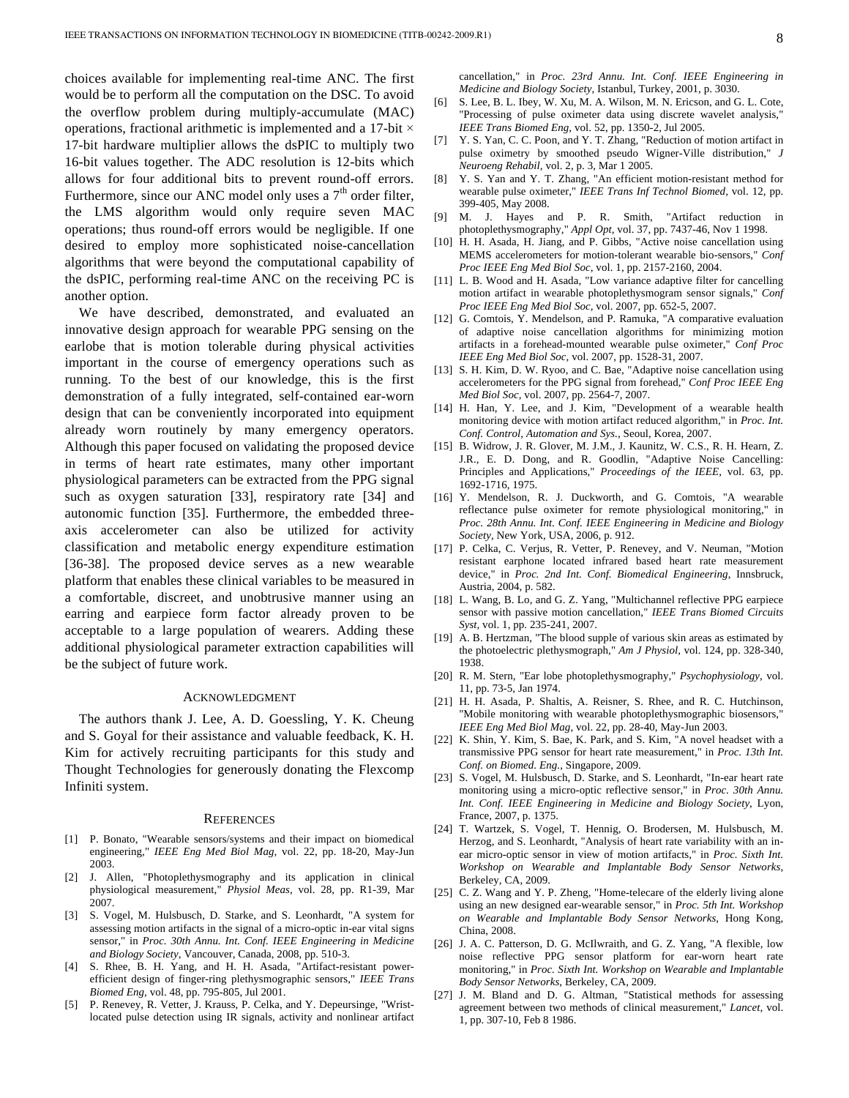choices available for implementing real-time ANC. The first would be to perform all the computation on the DSC. To avoid the overflow problem during multiply-accumulate (MAC) operations, fractional arithmetic is implemented and a 17-bit  $\times$ 17-bit hardware multiplier allows the dsPIC to multiply two 16-bit values together. The ADC resolution is 12-bits which allows for four additional bits to prevent round-off errors. Furthermore, since our ANC model only uses a  $7<sup>th</sup>$  order filter, the LMS algorithm would only require seven MAC operations; thus round-off errors would be negligible. If one desired to employ more sophisticated noise-cancellation algorithms that were beyond the computational capability of the dsPIC, performing real-time ANC on the receiving PC is another option.

We have described, demonstrated, and evaluated an innovative design approach for wearable PPG sensing on the earlobe that is motion tolerable during physical activities important in the course of emergency operations such as running. To the best of our knowledge, this is the first demonstration of a fully integrated, self-contained ear-worn design that can be conveniently incorporated into equipment already worn routinely by many emergency operators. Although this paper focused on validating the proposed device in terms of heart rate estimates, many other important physiological parameters can be extracted from the PPG signal such as oxygen saturation [33], respiratory rate [34] and autonomic function [35]. Furthermore, the embedded threeaxis accelerometer can also be utilized for activity classification and metabolic energy expenditure estimation [36-38]. The proposed device serves as a new wearable platform that enables these clinical variables to be measured in a comfortable, discreet, and unobtrusive manner using an earring and earpiece form factor already proven to be acceptable to a large population of wearers. Adding these additional physiological parameter extraction capabilities will be the subject of future work.

#### ACKNOWLEDGMENT

The authors thank J. Lee, A. D. Goessling, Y. K. Cheung and S. Goyal for their assistance and valuable feedback, K. H. Kim for actively recruiting participants for this study and Thought Technologies for generously donating the Flexcomp Infiniti system.

#### **REFERENCES**

- [1] P. Bonato, "Wearable sensors/systems and their impact on biomedical engineering," *IEEE Eng Med Biol Mag,* vol. 22, pp. 18-20, May-Jun 2003.
- [2] J. Allen, "Photoplethysmography and its application in clinical physiological measurement," *Physiol Meas,* vol. 28, pp. R1-39, Mar 2007.
- [3] S. Vogel, M. Hulsbusch, D. Starke, and S. Leonhardt, "A system for assessing motion artifacts in the signal of a micro-optic in-ear vital signs sensor," in *Proc. 30th Annu. Int. Conf. IEEE Engineering in Medicine and Biology Society*, Vancouver, Canada, 2008, pp. 510-3.
- [4] S. Rhee, B. H. Yang, and H. H. Asada, "Artifact-resistant powerefficient design of finger-ring plethysmographic sensors," *IEEE Trans Biomed Eng,* vol. 48, pp. 795-805, Jul 2001.
- [5] P. Renevey, R. Vetter, J. Krauss, P. Celka, and Y. Depeursinge, "Wristlocated pulse detection using IR signals, activity and nonlinear artifact

cancellation," in *Proc. 23rd Annu. Int. Conf. IEEE Engineering in Medicine and Biology Society*, Istanbul, Turkey, 2001, p. 3030.

- [6] S. Lee, B. L. Ibey, W. Xu, M. A. Wilson, M. N. Ericson, and G. L. Cote, "Processing of pulse oximeter data using discrete wavelet analysis," *IEEE Trans Biomed Eng,* vol. 52, pp. 1350-2, Jul 2005.
- [7] Y. S. Yan, C. C. Poon, and Y. T. Zhang, "Reduction of motion artifact in pulse oximetry by smoothed pseudo Wigner-Ville distribution," *J Neuroeng Rehabil,* vol. 2, p. 3, Mar 1 2005.
- [8] Y. S. Yan and Y. T. Zhang, "An efficient motion-resistant method for wearable pulse oximeter," *IEEE Trans Inf Technol Biomed,* vol. 12, pp. 399-405, May 2008.
- [9] M. J. Hayes and P. R. Smith, "Artifact reduction in photoplethysmography," *Appl Opt,* vol. 37, pp. 7437-46, Nov 1 1998.
- [10] H. H. Asada, H. Jiang, and P. Gibbs, "Active noise cancellation using MEMS accelerometers for motion-tolerant wearable bio-sensors," *Conf Proc IEEE Eng Med Biol Soc,* vol. 1, pp. 2157-2160, 2004.
- [11] L. B. Wood and H. Asada, "Low variance adaptive filter for cancelling motion artifact in wearable photoplethysmogram sensor signals," *Conf Proc IEEE Eng Med Biol Soc,* vol. 2007, pp. 652-5, 2007.
- [12] G. Comtois, Y. Mendelson, and P. Ramuka, "A comparative evaluation of adaptive noise cancellation algorithms for minimizing motion artifacts in a forehead-mounted wearable pulse oximeter," *Conf Proc IEEE Eng Med Biol Soc,* vol. 2007, pp. 1528-31, 2007.
- [13] S. H. Kim, D. W. Ryoo, and C. Bae, "Adaptive noise cancellation using accelerometers for the PPG signal from forehead," *Conf Proc IEEE Eng Med Biol Soc,* vol. 2007, pp. 2564-7, 2007.
- [14] H. Han, Y. Lee, and J. Kim, "Development of a wearable health monitoring device with motion artifact reduced algorithm," in *Proc. Int. Conf. Control, Automation and Sys.*, Seoul, Korea, 2007.
- [15] B. Widrow, J. R. Glover, M. J.M., J. Kaunitz, W. C.S., R. H. Hearn, Z. J.R., E. D. Dong, and R. Goodlin, "Adaptive Noise Cancelling: Principles and Applications," *Proceedings of the IEEE,* vol. 63, pp. 1692-1716, 1975.
- [16] Y. Mendelson, R. J. Duckworth, and G. Comtois, "A wearable reflectance pulse oximeter for remote physiological monitoring," in *Proc. 28th Annu. Int. Conf. IEEE Engineering in Medicine and Biology Society*, New York, USA, 2006, p. 912.
- [17] P. Celka, C. Verjus, R. Vetter, P. Renevey, and V. Neuman, "Motion resistant earphone located infrared based heart rate measurement device," in *Proc. 2nd Int. Conf. Biomedical Engineering*, Innsbruck, Austria, 2004, p. 582.
- [18] L. Wang, B. Lo, and G. Z. Yang, "Multichannel reflective PPG earpiece sensor with passive motion cancellation," *IEEE Trans Biomed Circuits Syst,* vol. 1, pp. 235-241, 2007.
- [19] A. B. Hertzman, "The blood supple of various skin areas as estimated by the photoelectric plethysmograph," *Am J Physiol,* vol. 124, pp. 328-340, 1938.
- [20] R. M. Stern, "Ear lobe photoplethysmography," *Psychophysiology,* vol. 11, pp. 73-5, Jan 1974.
- [21] H. H. Asada, P. Shaltis, A. Reisner, S. Rhee, and R. C. Hutchinson, "Mobile monitoring with wearable photoplethysmographic biosensors," *IEEE Eng Med Biol Mag,* vol. 22, pp. 28-40, May-Jun 2003.
- [22] K. Shin, Y. Kim, S. Bae, K. Park, and S. Kim, "A novel headset with a transmissive PPG sensor for heart rate measurement," in *Proc. 13th Int. Conf. on Biomed. Eng.*, Singapore, 2009.
- [23] S. Vogel, M. Hulsbusch, D. Starke, and S. Leonhardt, "In-ear heart rate monitoring using a micro-optic reflective sensor," in *Proc. 30th Annu. Int. Conf. IEEE Engineering in Medicine and Biology Society*, Lyon, France, 2007, p. 1375.
- [24] T. Wartzek, S. Vogel, T. Hennig, O. Brodersen, M. Hulsbusch, M. Herzog, and S. Leonhardt, "Analysis of heart rate variability with an inear micro-optic sensor in view of motion artifacts," in *Proc. Sixth Int. Workshop on Wearable and Implantable Body Sensor Networks*, Berkeley, CA, 2009.
- [25] C. Z. Wang and Y. P. Zheng, "Home-telecare of the elderly living alone using an new designed ear-wearable sensor," in *Proc. 5th Int. Workshop on Wearable and Implantable Body Sensor Networks*, Hong Kong, China, 2008.
- [26] J. A. C. Patterson, D. G. McIlwraith, and G. Z. Yang, "A flexible, low noise reflective PPG sensor platform for ear-worn heart rate monitoring," in *Proc. Sixth Int. Workshop on Wearable and Implantable Body Sensor Networks*, Berkeley, CA, 2009.
- [27] J. M. Bland and D. G. Altman, "Statistical methods for assessing agreement between two methods of clinical measurement," *Lancet,* vol. 1, pp. 307-10, Feb 8 1986.